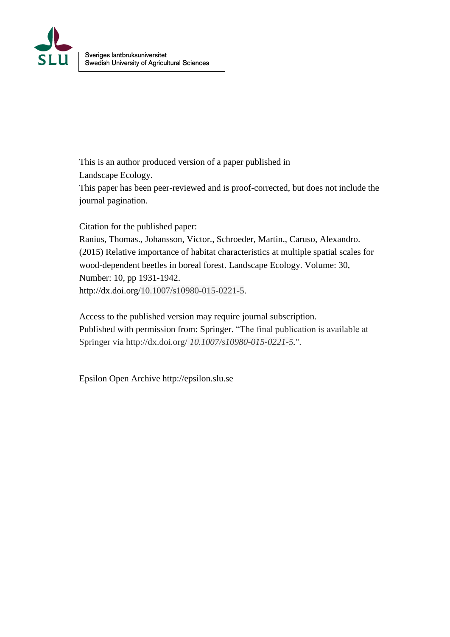

This is an author produced version of a paper published in

Landscape Ecology.

This paper has been peer-reviewed and is proof-corrected, but does not include the journal pagination.

Citation for the published paper:

Ranius, Thomas., Johansson, Victor., Schroeder, Martin., Caruso, Alexandro. (2015) Relative importance of habitat characteristics at multiple spatial scales for wood-dependent beetles in boreal forest. Landscape Ecology. Volume: 30, Number: 10, pp 1931-1942. http://dx.doi.org/10.1007/s10980-015-0221-5.

Access to the published version may require journal subscription. Published with permission from: Springer. "The final publication is available at Springer via http://dx.doi.org/ *10.1007/s10980-015-0221-5.*".

Epsilon Open Archive http://epsilon.slu.se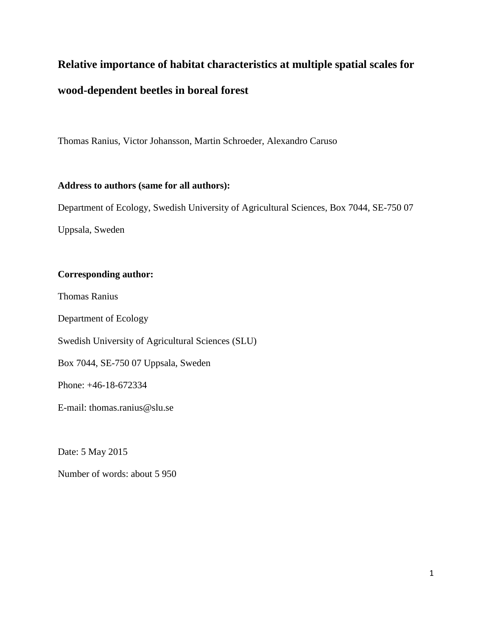# **Relative importance of habitat characteristics at multiple spatial scales for**

# **wood-dependent beetles in boreal forest**

Thomas Ranius, Victor Johansson, Martin Schroeder, Alexandro Caruso

## **Address to authors (same for all authors):**

Department of Ecology, Swedish University of Agricultural Sciences, Box 7044, SE-750 07

Uppsala, Sweden

# **Corresponding author:**

Thomas Ranius

Department of Ecology

Swedish University of Agricultural Sciences (SLU)

Box 7044, SE-750 07 Uppsala, Sweden

Phone: +46-18-672334

E-mail: thomas.ranius@slu.se

Date: 5 May 2015

Number of words: about 5 950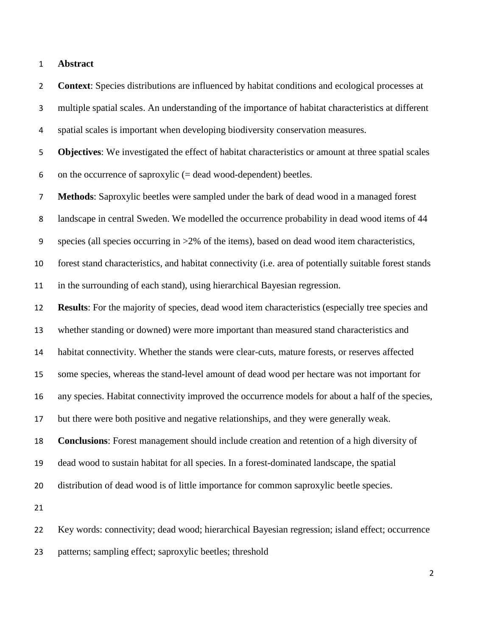**Abstract**

 **Context**: Species distributions are influenced by habitat conditions and ecological processes at multiple spatial scales. An understanding of the importance of habitat characteristics at different spatial scales is important when developing biodiversity conservation measures. **Objectives**: We investigated the effect of habitat characteristics or amount at three spatial scales 6 on the occurrence of saproxylic  $(= dead$  wood-dependent) beetles. **Methods**: Saproxylic beetles were sampled under the bark of dead wood in a managed forest landscape in central Sweden. We modelled the occurrence probability in dead wood items of 44 species (all species occurring in >2% of the items), based on dead wood item characteristics, forest stand characteristics, and habitat connectivity (i.e. area of potentially suitable forest stands in the surrounding of each stand), using hierarchical Bayesian regression. **Results**: For the majority of species, dead wood item characteristics (especially tree species and whether standing or downed) were more important than measured stand characteristics and habitat connectivity. Whether the stands were clear-cuts, mature forests, or reserves affected some species, whereas the stand-level amount of dead wood per hectare was not important for any species. Habitat connectivity improved the occurrence models for about a half of the species, but there were both positive and negative relationships, and they were generally weak. **Conclusions**: Forest management should include creation and retention of a high diversity of dead wood to sustain habitat for all species. In a forest-dominated landscape, the spatial distribution of dead wood is of little importance for common saproxylic beetle species. Key words: connectivity; dead wood; hierarchical Bayesian regression; island effect; occurrence

patterns; sampling effect; saproxylic beetles; threshold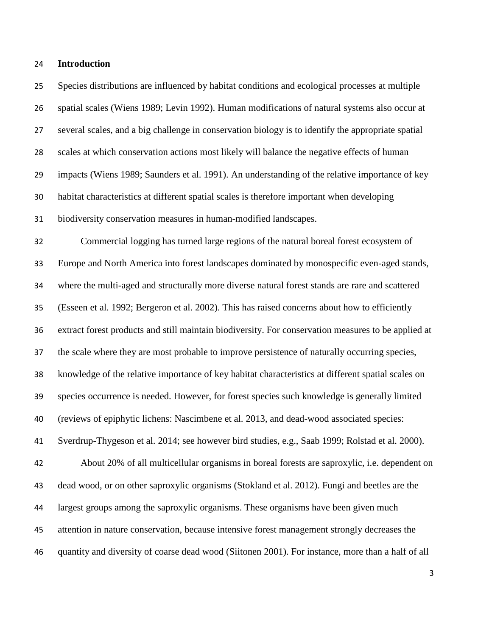#### **Introduction**

 Species distributions are influenced by habitat conditions and ecological processes at multiple spatial scales (Wiens 1989; Levin 1992). Human modifications of natural systems also occur at several scales, and a big challenge in conservation biology is to identify the appropriate spatial scales at which conservation actions most likely will balance the negative effects of human impacts (Wiens 1989; Saunders et al. 1991). An understanding of the relative importance of key habitat characteristics at different spatial scales is therefore important when developing biodiversity conservation measures in human-modified landscapes. Commercial logging has turned large regions of the natural boreal forest ecosystem of Europe and North America into forest landscapes dominated by monospecific even-aged stands, where the multi-aged and structurally more diverse natural forest stands are rare and scattered (Esseen et al. 1992; Bergeron et al. 2002). This has raised concerns about how to efficiently extract forest products and still maintain biodiversity. For conservation measures to be applied at the scale where they are most probable to improve persistence of naturally occurring species, knowledge of the relative importance of key habitat characteristics at different spatial scales on

species occurrence is needed. However, for forest species such knowledge is generally limited

(reviews of epiphytic lichens: Nascimbene et al. 2013, and dead-wood associated species:

Sverdrup-Thygeson et al. 2014; see however bird studies, e.g., Saab 1999; Rolstad et al. 2000).

 About 20% of all multicellular organisms in boreal forests are saproxylic, i.e. dependent on dead wood, or on other saproxylic organisms (Stokland et al. 2012). Fungi and beetles are the largest groups among the saproxylic organisms. These organisms have been given much attention in nature conservation, because intensive forest management strongly decreases the quantity and diversity of coarse dead wood (Siitonen 2001). For instance, more than a half of all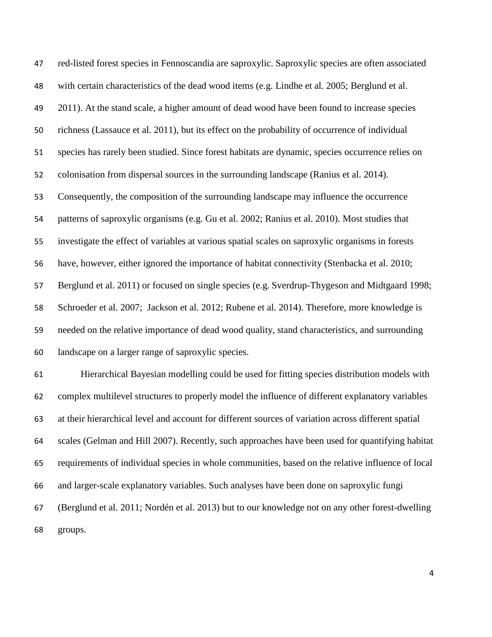red-listed forest species in Fennoscandia are saproxylic. Saproxylic species are often associated with certain characteristics of the dead wood items (e.g. [Lindhe et](#page-29-0) al. 2005; Berglund et al. 2011). At the stand scale, a higher amount of dead wood have been found to increase species richness (Lassauce et al. 2011), but its effect on the probability of occurrence of individual species has rarely been studied. Since forest habitats are dynamic, species occurrence relies on colonisation from dispersal sources in the surrounding landscape (Ranius et al. 2014). Consequently, the composition of the surrounding landscape may influence the occurrence patterns of saproxylic organisms (e.g. Gu et al. 2002; Ranius et al. 2010). Most studies that investigate the effect of variables at various spatial scales on saproxylic organisms in forests have, however, either ignored the importance of habitat connectivity (Stenbacka et al. 2010; Berglund et al. 2011) or focused on single species (e.g. Sverdrup-Thygeson and Midtgaard 1998; [Schroeder et](#page-31-0) al. 2007; Jackson et al. 2012; Rubene et al. 2014). Therefore, more knowledge is needed on the relative importance of dead wood quality, stand characteristics, and surrounding landscape on a larger range of saproxylic species. Hierarchical Bayesian modelling could be used for fitting species distribution models with complex multilevel structures to properly model the influence of different explanatory variables at their hierarchical level and account for different sources of variation across different spatial scales (Gelman and Hill 2007). Recently, such approaches have been used for quantifying habitat requirements of individual species in whole communities, based on the relative influence of local

and larger-scale explanatory variables. Such analyses have been done on saproxylic fungi

 (Berglund et al. 2011; Nordén et al. 2013) but to our knowledge not on any other forest-dwelling groups.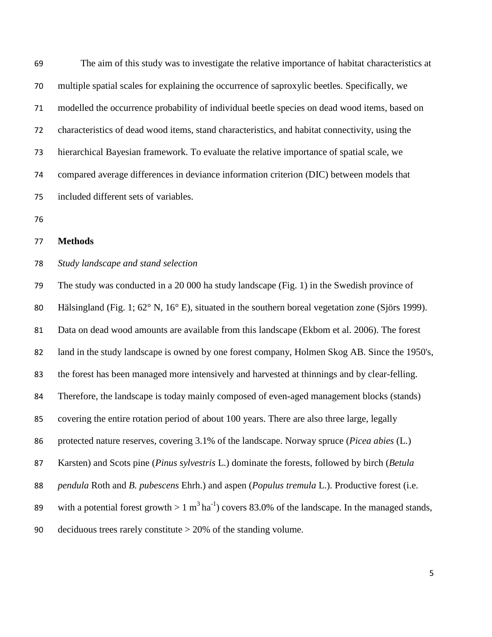The aim of this study was to investigate the relative importance of habitat characteristics at multiple spatial scales for explaining the occurrence of saproxylic beetles. Specifically, we modelled the occurrence probability of individual beetle species on dead wood items, based on characteristics of dead wood items, stand characteristics, and habitat connectivity, using the hierarchical Bayesian framework. To evaluate the relative importance of spatial scale, we compared average differences in deviance information criterion (DIC) between models that included different sets of variables.

#### **Methods**

### *Study landscape and stand selection*

 The study was conducted in a 20 000 ha study landscape (Fig. 1) in the Swedish province of 80 Hälsingland (Fig. 1; 62° N, 16° E), situated in the southern boreal vegetation zone (Sjörs 1999). Data on dead wood amounts are available from this landscape (Ekbom et al. 2006). The forest land in the study landscape is owned by one forest company, Holmen Skog AB. Since the 1950's, the forest has been managed more intensively and harvested at thinnings and by clear-felling. Therefore, the landscape is today mainly composed of even-aged management blocks (stands) covering the entire rotation period of about 100 years. There are also three large, legally protected nature reserves, covering 3.1% of the landscape. Norway spruce (*Picea abies* (L.) Karsten) and Scots pine (*Pinus sylvestris* L.) dominate the forests, followed by birch (*Betula pendula* Roth and *B. pubescens* Ehrh.) and aspen (*Populus tremula* L.). Productive forest (i.e. 89 with a potential forest growth  $> 1 \text{ m}^3 \text{ ha}^{-1}$ ) covers 83.0% of the landscape. In the managed stands, deciduous trees rarely constitute > 20% of the standing volume.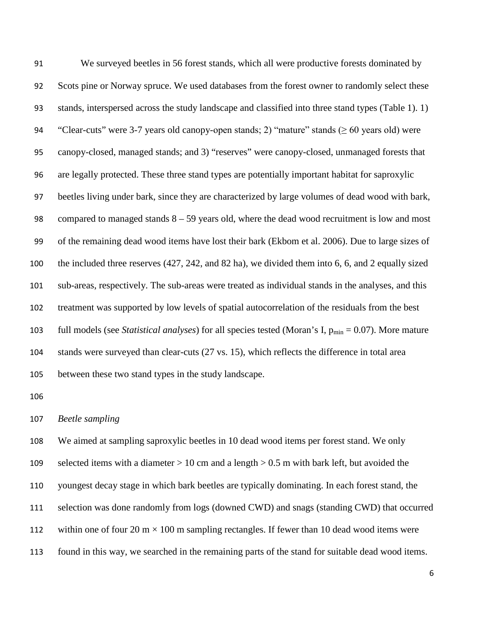We surveyed beetles in 56 forest stands, which all were productive forests dominated by Scots pine or Norway spruce. We used databases from the forest owner to randomly select these stands, interspersed across the study landscape and classified into three stand types (Table 1). 1) 94 "Clear-cuts" were 3-7 years old canopy-open stands; 2) "mature" stands ( $\geq 60$  years old) were canopy-closed, managed stands; and 3) "reserves" were canopy-closed, unmanaged forests that are legally protected. These three stand types are potentially important habitat for saproxylic beetles living under bark, since they are characterized by large volumes of dead wood with bark, compared to managed stands 8 – 59 years old, where the dead wood recruitment is low and most of the remaining dead wood items have lost their bark (Ekbom et al. 2006). Due to large sizes of the included three reserves (427, 242, and 82 ha), we divided them into 6, 6, and 2 equally sized sub-areas, respectively. The sub-areas were treated as individual stands in the analyses, and this treatment was supported by low levels of spatial autocorrelation of the residuals from the best 103 full models (see *Statistical analyses*) for all species tested (Moran's I, p<sub>min</sub> = 0.07). More mature stands were surveyed than clear-cuts (27 vs. 15), which reflects the difference in total area between these two stand types in the study landscape.

#### *Beetle sampling*

 We aimed at sampling saproxylic beetles in 10 dead wood items per forest stand. We only 109 selected items with a diameter  $> 10$  cm and a length  $> 0.5$  m with bark left, but avoided the youngest decay stage in which bark beetles are typically dominating. In each forest stand, the selection was done randomly from logs (downed CWD) and snags (standing CWD) that occurred 112 within one of four 20 m  $\times$  100 m sampling rectangles. If fewer than 10 dead wood items were found in this way, we searched in the remaining parts of the stand for suitable dead wood items.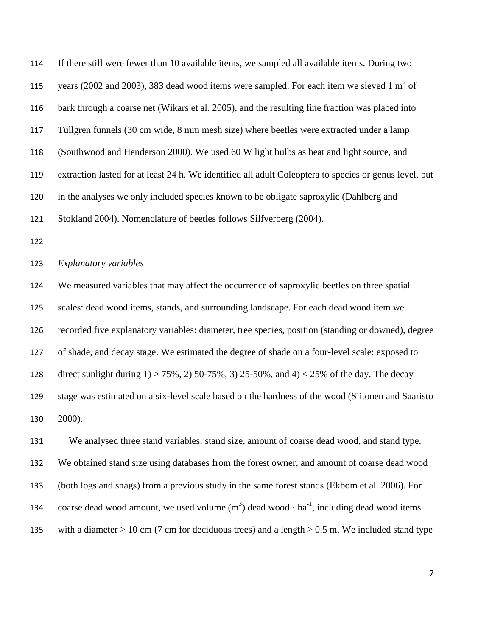| 114 | If there still were fewer than 10 available items, we sampled all available items. During two          |
|-----|--------------------------------------------------------------------------------------------------------|
| 115 | years (2002 and 2003), 383 dead wood items were sampled. For each item we sieved 1 $m2$ of             |
| 116 | bark through a coarse net (Wikars et al. 2005), and the resulting fine fraction was placed into        |
| 117 | Tullgren funnels (30 cm wide, 8 mm mesh size) where beetles were extracted under a lamp                |
| 118 | (Southwood and Henderson 2000). We used 60 W light bulbs as heat and light source, and                 |
| 119 | extraction lasted for at least 24 h. We identified all adult Coleoptera to species or genus level, but |
| 120 | in the analyses we only included species known to be obligate saproxylic (Dahlberg and                 |
| 121 | Stokland 2004). Nomenclature of beetles follows Silfverberg (2004).                                    |
| 122 |                                                                                                        |
| 123 | Explanatory variables                                                                                  |
|     |                                                                                                        |

 We measured variables that may affect the occurrence of saproxylic beetles on three spatial scales: dead wood items, stands, and surrounding landscape. For each dead wood item we recorded five explanatory variables: diameter, tree species, position (standing or downed), degree of shade, and decay stage. We estimated the degree of shade on a four-level scale: exposed to direct sunlight during 1) > 75%, 2) 50-75%, 3) 25-50%, and 4) < 25% of the day. The decay stage was estimated on a six-level scale based on the hardness of the wood (Siitonen and Saaristo 2000).

 We analysed three stand variables: stand size, amount of coarse dead wood, and stand type. We obtained stand size using databases from the forest owner, and amount of coarse dead wood (both logs and snags) from a previous study in the same forest stands (Ekbom et al. 2006). For 134 coarse dead wood amount, we used volume  $(m^3)$  dead wood  $\cdot$  ha<sup>-1</sup>, including dead wood items 135 with a diameter  $> 10$  cm (7 cm for deciduous trees) and a length  $> 0.5$  m. We included stand type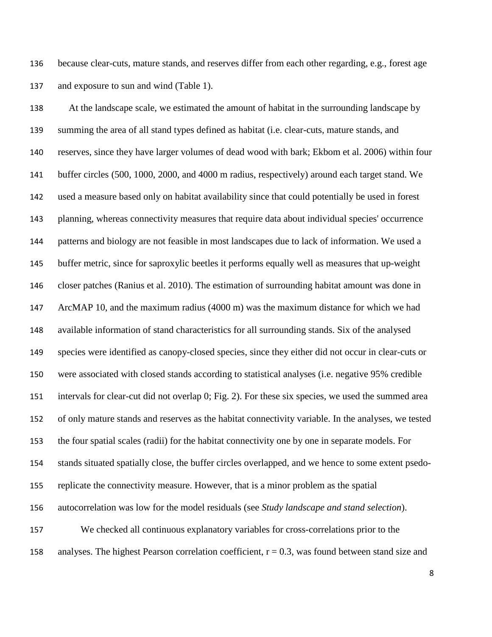because clear-cuts, mature stands, and reserves differ from each other regarding, e.g., forest age and exposure to sun and wind (Table 1).

 At the landscape scale, we estimated the amount of habitat in the surrounding landscape by summing the area of all stand types defined as habitat (i.e. clear-cuts, mature stands, and reserves, since they have larger volumes of dead wood with bark; Ekbom et al. 2006) within four buffer circles (500, 1000, 2000, and 4000 m radius, respectively) around each target stand. We used a measure based only on habitat availability since that could potentially be used in forest planning, whereas connectivity measures that require data about individual species' occurrence patterns and biology are not feasible in most landscapes due to lack of information. We used a buffer metric, since for saproxylic beetles it performs equally well as measures that up-weight closer patches (Ranius et al. 2010). The estimation of surrounding habitat amount was done in ArcMAP 10, and the maximum radius (4000 m) was the maximum distance for which we had available information of stand characteristics for all surrounding stands. Six of the analysed species were identified as canopy-closed species, since they either did not occur in clear-cuts or were associated with closed stands according to statistical analyses (i.e. negative 95% credible intervals for clear-cut did not overlap 0; Fig. 2). For these six species, we used the summed area of only mature stands and reserves as the habitat connectivity variable. In the analyses, we tested the four spatial scales (radii) for the habitat connectivity one by one in separate models. For stands situated spatially close, the buffer circles overlapped, and we hence to some extent psedo- replicate the connectivity measure. However, that is a minor problem as the spatial autocorrelation was low for the model residuals (see *Study landscape and stand selection*). We checked all continuous explanatory variables for cross-correlations prior to the 158 analyses. The highest Pearson correlation coefficient,  $r = 0.3$ , was found between stand size and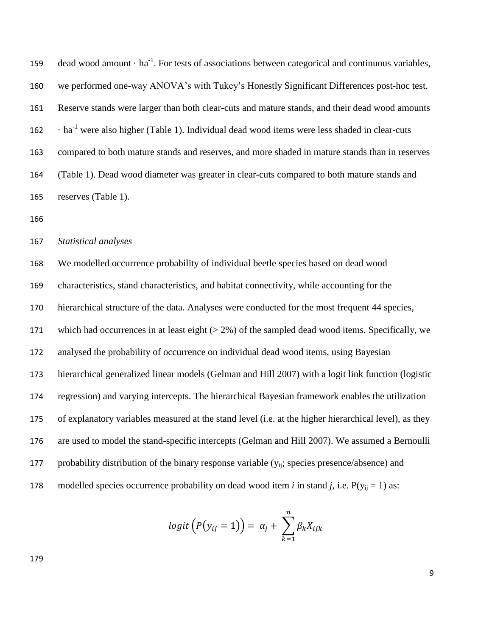159 dead wood amount  $\cdot$  ha<sup>-1</sup>. For tests of associations between categorical and continuous variables, we performed one-way ANOVA's with Tukey's Honestly Significant Differences post-hoc test. Reserve stands were larger than both clear-cuts and mature stands, and their dead wood amounts were also higher (Table 1). Individual dead wood items were less shaded in clear-cuts compared to both mature stands and reserves, and more shaded in mature stands than in reserves (Table 1). Dead wood diameter was greater in clear-cuts compared to both mature stands and reserves (Table 1).

*Statistical analyses*

 We modelled occurrence probability of individual beetle species based on dead wood characteristics, stand characteristics, and habitat connectivity, while accounting for the hierarchical structure of the data. Analyses were conducted for the most frequent 44 species, which had occurrences in at least eight (> 2%) of the sampled dead wood items. Specifically, we analysed the probability of occurrence on individual dead wood items, using Bayesian hierarchical generalized linear models (Gelman and Hill 2007) with a logit link function (logistic regression) and varying intercepts. The hierarchical Bayesian framework enables the utilization of explanatory variables measured at the stand level (i.e. at the higher hierarchical level), as they are used to model the stand-specific intercepts (Gelman and Hill 2007). We assumed a Bernoulli 177 probability distribution of the binary response variable  $(y_{ii})$ ; species presence/absence) and 178 modelled species occurrence probability on dead wood item *i* in stand *j*, i.e.  $P(y_{ii} = 1)$  as:

$$
logit(P(y_{ij} = 1)) = \alpha_j + \sum_{k=1}^n \beta_k X_{ijk}
$$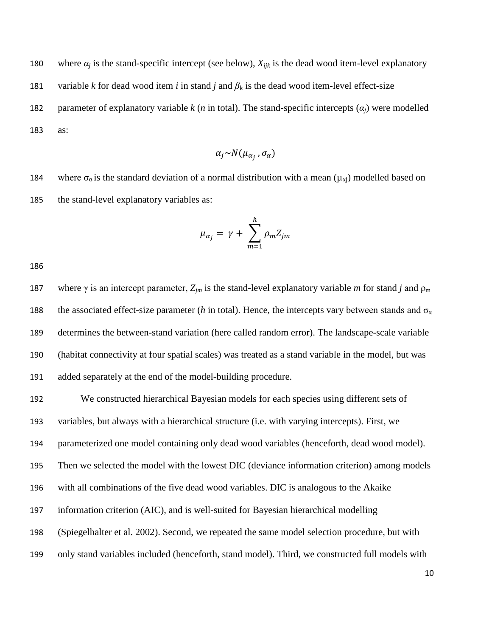180 where  $\alpha_i$  is the stand-specific intercept (see below),  $X_{ijk}$  is the dead wood item-level explanatory 181 variable *k* for dead wood item *i* in stand *j* and  $\beta_k$  is the dead wood item-level effect-size parameter of explanatory variable *k* (*n* in total). The stand-specific intercepts (*αj*) were modelled as:

$$
\alpha_j \sim N(\mu_{\alpha_j}, \sigma_\alpha)
$$

184 where  $\sigma_a$  is the standard deviation of a normal distribution with a mean ( $\mu_{ai}$ ) modelled based on the stand-level explanatory variables as:

$$
\mu_{\alpha_j} = \gamma + \sum_{m=1}^h \rho_m Z_{jm}
$$

187 where  $\gamma$  is an intercept parameter,  $Z_{im}$  is the stand-level explanatory variable *m* for stand *j* and  $\rho_m$ 188 the associated effect-size parameter (*h* in total). Hence, the intercepts vary between stands and  $\sigma_a$  determines the between-stand variation (here called random error). The landscape-scale variable (habitat connectivity at four spatial scales) was treated as a stand variable in the model, but was added separately at the end of the model-building procedure.

 We constructed hierarchical Bayesian models for each species using different sets of variables, but always with a hierarchical structure (i.e. with varying intercepts). First, we parameterized one model containing only dead wood variables (henceforth, dead wood model). Then we selected the model with the lowest DIC (deviance information criterion) among models with all combinations of the five dead wood variables. DIC is analogous to the Akaike information criterion (AIC), and is well-suited for Bayesian hierarchical modelling (Spiegelhalter et al. 2002). Second, we repeated the same model selection procedure, but with only stand variables included (henceforth, stand model). Third, we constructed full models with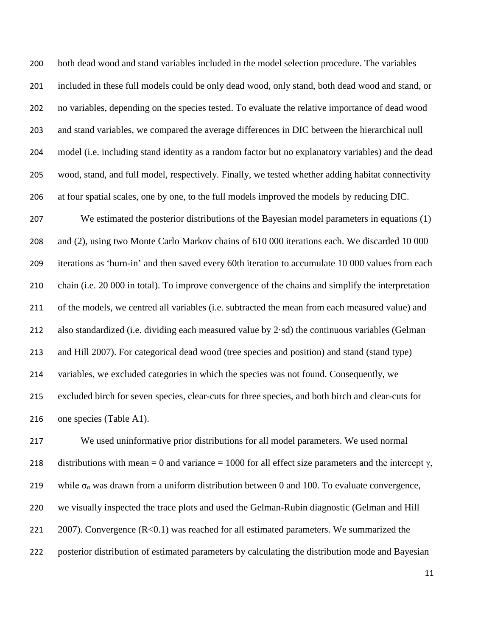both dead wood and stand variables included in the model selection procedure. The variables included in these full models could be only dead wood, only stand, both dead wood and stand, or no variables, depending on the species tested. To evaluate the relative importance of dead wood and stand variables, we compared the average differences in DIC between the hierarchical null model (i.e. including stand identity as a random factor but no explanatory variables) and the dead wood, stand, and full model, respectively. Finally, we tested whether adding habitat connectivity at four spatial scales, one by one, to the full models improved the models by reducing DIC.

 We estimated the posterior distributions of the Bayesian model parameters in equations (1) and (2), using two Monte Carlo Markov chains of 610 000 iterations each. We discarded 10 000 iterations as 'burn-in' and then saved every 60th iteration to accumulate 10 000 values from each chain (i.e. 20 000 in total). To improve convergence of the chains and simplify the interpretation of the models, we centred all variables (i.e. subtracted the mean from each measured value) and 212 also standardized (i.e. dividing each measured value by  $2 \cdot sd$ ) the continuous variables (Gelman and Hill 2007). For categorical dead wood (tree species and position) and stand (stand type) variables, we excluded categories in which the species was not found. Consequently, we excluded birch for seven species, clear-cuts for three species, and both birch and clear-cuts for one species (Table A1).

 We used uninformative prior distributions for all model parameters. We used normal 218 distributions with mean = 0 and variance = 1000 for all effect size parameters and the intercept  $\gamma$ , 219 while  $\sigma_{\alpha}$  was drawn from a uniform distribution between 0 and 100. To evaluate convergence, we visually inspected the trace plots and used the Gelman-Rubin diagnostic (Gelman and Hill 221 2007). Convergence (R<0.1) was reached for all estimated parameters. We summarized the posterior distribution of estimated parameters by calculating the distribution mode and Bayesian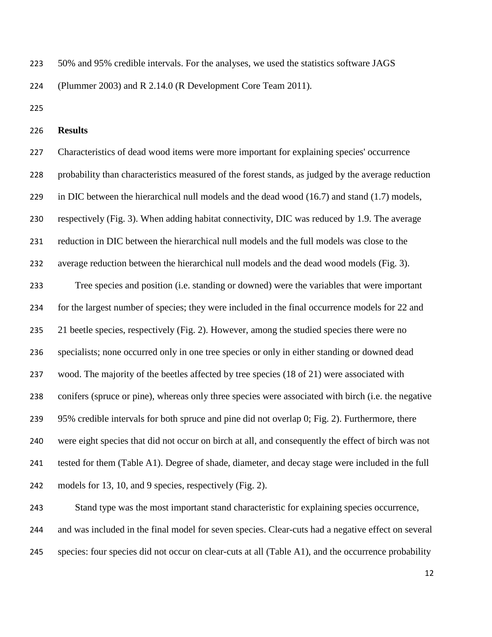50% and 95% credible intervals. For the analyses, we used the statistics software JAGS

(Plummer 2003) and R 2.14.0 (R Development Core Team 2011).

**Results** 

 Characteristics of dead wood items were more important for explaining species' occurrence probability than characteristics measured of the forest stands, as judged by the average reduction in DIC between the hierarchical null models and the dead wood (16.7) and stand (1.7) models, respectively (Fig. 3). When adding habitat connectivity, DIC was reduced by 1.9. The average reduction in DIC between the hierarchical null models and the full models was close to the average reduction between the hierarchical null models and the dead wood models (Fig. 3). Tree species and position (i.e. standing or downed) were the variables that were important

 for the largest number of species; they were included in the final occurrence models for 22 and 235 21 beetle species, respectively (Fig. 2). However, among the studied species there were no specialists; none occurred only in one tree species or only in either standing or downed dead wood. The majority of the beetles affected by tree species (18 of 21) were associated with conifers (spruce or pine), whereas only three species were associated with birch (i.e. the negative 95% credible intervals for both spruce and pine did not overlap 0; Fig. 2). Furthermore, there were eight species that did not occur on birch at all, and consequently the effect of birch was not tested for them (Table A1). Degree of shade, diameter, and decay stage were included in the full models for 13, 10, and 9 species, respectively (Fig. 2).

 Stand type was the most important stand characteristic for explaining species occurrence, and was included in the final model for seven species. Clear-cuts had a negative effect on several species: four species did not occur on clear-cuts at all (Table A1), and the occurrence probability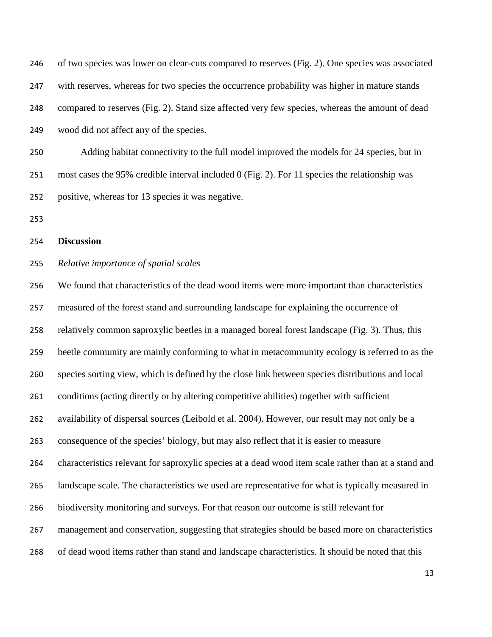of two species was lower on clear-cuts compared to reserves (Fig. 2). One species was associated with reserves, whereas for two species the occurrence probability was higher in mature stands compared to reserves (Fig. 2). Stand size affected very few species, whereas the amount of dead wood did not affect any of the species.

 Adding habitat connectivity to the full model improved the models for 24 species, but in most cases the 95% credible interval included 0 (Fig. 2). For 11 species the relationship was positive, whereas for 13 species it was negative.

#### **Discussion**

#### *Relative importance of spatial scales*

 We found that characteristics of the dead wood items were more important than characteristics measured of the forest stand and surrounding landscape for explaining the occurrence of relatively common saproxylic beetles in a managed boreal forest landscape (Fig. 3). Thus, this beetle community are mainly conforming to what in metacommunity ecology is referred to as the species sorting view, which is defined by the close link between species distributions and local conditions (acting directly or by altering competitive abilities) together with sufficient availability of dispersal sources (Leibold et al. 2004). However, our result may not only be a consequence of the species' biology, but may also reflect that it is easier to measure characteristics relevant for saproxylic species at a dead wood item scale rather than at a stand and landscape scale. The characteristics we used are representative for what is typically measured in biodiversity monitoring and surveys. For that reason our outcome is still relevant for management and conservation, suggesting that strategies should be based more on characteristics of dead wood items rather than stand and landscape characteristics. It should be noted that this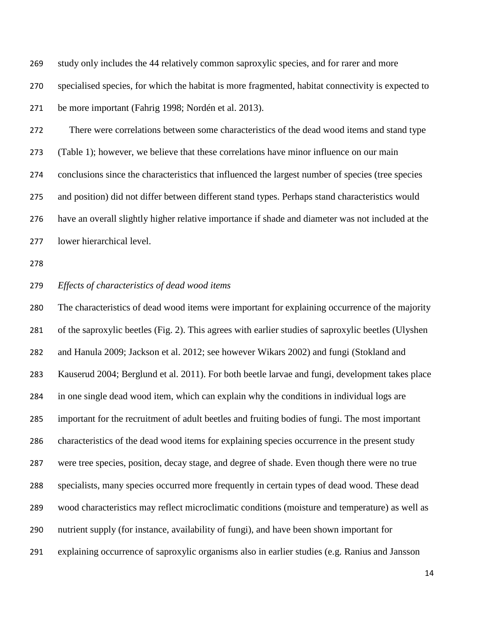study only includes the 44 relatively common saproxylic species, and for rarer and more specialised species, for which the habitat is more fragmented, habitat connectivity is expected to be more important (Fahrig 1998; Nordén et al. 2013).

 There were correlations between some characteristics of the dead wood items and stand type (Table 1); however, we believe that these correlations have minor influence on our main conclusions since the characteristics that influenced the largest number of species (tree species and position) did not differ between different stand types. Perhaps stand characteristics would have an overall slightly higher relative importance if shade and diameter was not included at the lower hierarchical level.

## *Effects of characteristics of dead wood items*

 The characteristics of dead wood items were important for explaining occurrence of the majority of the saproxylic beetles (Fig. 2). This agrees with earlier studies of saproxylic beetles (Ulyshen and Hanula 2009; Jackson et al. 2012; see however Wikars 2002) and fungi (Stokland and Kauserud 2004; Berglund et al. 2011). For both beetle larvae and fungi, development takes place in one single dead wood item, which can explain why the conditions in individual logs are important for the recruitment of adult beetles and fruiting bodies of fungi. The most important characteristics of the dead wood items for explaining species occurrence in the present study were tree species, position, decay stage, and degree of shade. Even though there were no true specialists, many species occurred more frequently in certain types of dead wood. These dead wood characteristics may reflect microclimatic conditions (moisture and temperature) as well as nutrient supply (for instance, availability of fungi), and have been shown important for explaining occurrence of saproxylic organisms also in earlier studies (e.g. Ranius and Jansson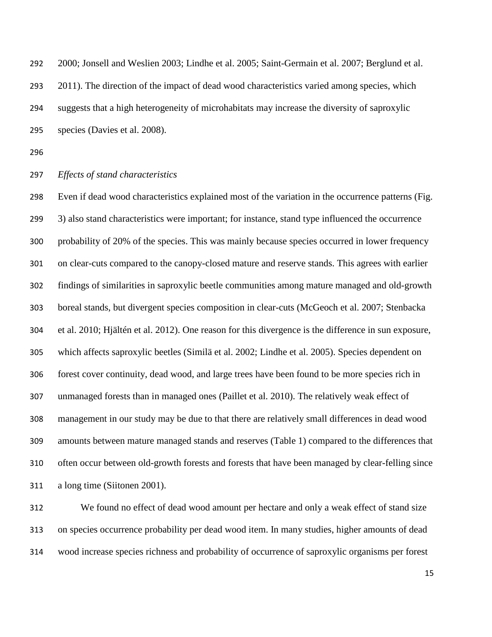2000; [Jonsell and Weslien 2003;](#page-28-0) [Lindhe et](#page-29-0) al. 2005; [Saint-Germain et](#page-30-0) al. 2007; Berglund et al. 2011). The direction of the impact of dead wood characteristics varied among species, which suggests that a high heterogeneity of microhabitats may increase the diversity of saproxylic species (Davies et al. 2008).

## *Effects of stand characteristics*

 Even if dead wood characteristics explained most of the variation in the occurrence patterns (Fig. 3) also stand characteristics were important; for instance, stand type influenced the occurrence probability of 20% of the species. This was mainly because species occurred in lower frequency on clear-cuts compared to the canopy-closed mature and reserve stands. This agrees with earlier findings of similarities in saproxylic beetle communities among mature managed and old-growth boreal stands, but divergent species composition in clear-cuts (McGeoch et al. 2007; Stenbacka et al. 2010; Hjältén et al. 2012). One reason for this divergence is the difference in sun exposure, which affects saproxylic beetles (Similä et al. 2002; Lindhe et al. 2005). Species dependent on forest cover continuity, dead wood, and large trees have been found to be more species rich in unmanaged forests than in managed ones (Paillet et al. 2010). The relatively weak effect of management in our study may be due to that there are relatively small differences in dead wood amounts between mature managed stands and reserves (Table 1) compared to the differences that often occur between old-growth forests and forests that have been managed by clear-felling since a long time (Siitonen 2001).

 We found no effect of dead wood amount per hectare and only a weak effect of stand size on species occurrence probability per dead wood item. In many studies, higher amounts of dead wood increase species richness and probability of occurrence of saproxylic organisms per forest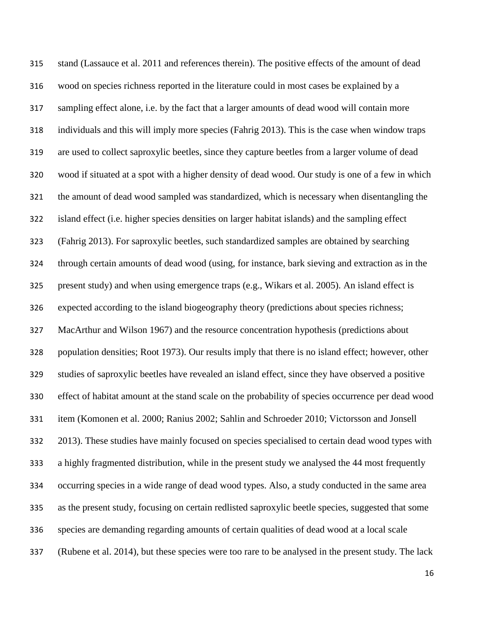stand (Lassauce et al. 2011 and references therein). The positive effects of the amount of dead wood on species richness reported in the literature could in most cases be explained by a sampling effect alone, i.e. by the fact that a larger amounts of dead wood will contain more individuals and this will imply more species (Fahrig 2013). This is the case when window traps are used to collect saproxylic beetles, since they capture beetles from a larger volume of dead wood if situated at a spot with a higher density of dead wood. Our study is one of a few in which the amount of dead wood sampled was standardized, which is necessary when disentangling the island effect (i.e. higher species densities on larger habitat islands) and the sampling effect (Fahrig 2013). For saproxylic beetles, such standardized samples are obtained by searching through certain amounts of dead wood (using, for instance, bark sieving and extraction as in the present study) and when using emergence traps (e.g., Wikars et al. 2005). An island effect is expected according to the island biogeography theory (predictions about species richness; MacArthur and Wilson 1967) and the resource concentration hypothesis (predictions about population densities; Root 1973). Our results imply that there is no island effect; however, other studies of saproxylic beetles have revealed an island effect, since they have observed a positive effect of habitat amount at the stand scale on the probability of species occurrence per dead wood item (Komonen et al. 2000; Ranius 2002; Sahlin and Schroeder 2010; Victorsson and Jonsell 2013). These studies have mainly focused on species specialised to certain dead wood types with a highly fragmented distribution, while in the present study we analysed the 44 most frequently occurring species in a wide range of dead wood types. Also, a study conducted in the same area as the present study, focusing on certain redlisted saproxylic beetle species, suggested that some species are demanding regarding amounts of certain qualities of dead wood at a local scale (Rubene et al. 2014), but these species were too rare to be analysed in the present study. The lack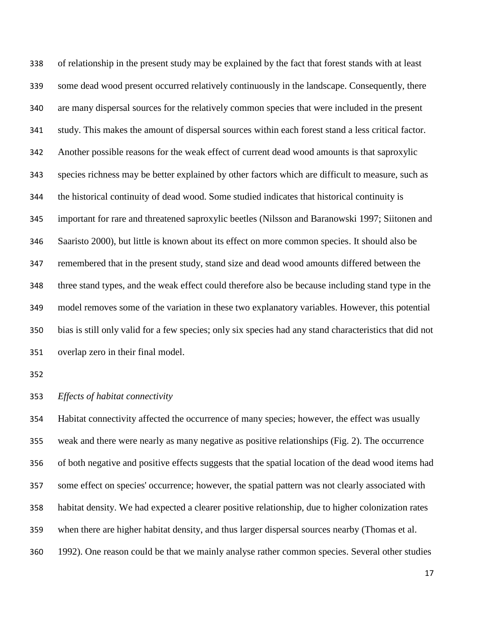of relationship in the present study may be explained by the fact that forest stands with at least some dead wood present occurred relatively continuously in the landscape. Consequently, there are many dispersal sources for the relatively common species that were included in the present study. This makes the amount of dispersal sources within each forest stand a less critical factor. Another possible reasons for the weak effect of current dead wood amounts is that saproxylic species richness may be better explained by other factors which are difficult to measure, such as the historical continuity of dead wood. Some studied indicates that historical continuity is important for rare and threatened saproxylic beetles (Nilsson and Baranowski 1997; Siitonen and Saaristo 2000), but little is known about its effect on more common species. It should also be remembered that in the present study, stand size and dead wood amounts differed between the three stand types, and the weak effect could therefore also be because including stand type in the model removes some of the variation in these two explanatory variables. However, this potential bias is still only valid for a few species; only six species had any stand characteristics that did not overlap zero in their final model.

*Effects of habitat connectivity*

 Habitat connectivity affected the occurrence of many species; however, the effect was usually weak and there were nearly as many negative as positive relationships (Fig. 2). The occurrence of both negative and positive effects suggests that the spatial location of the dead wood items had some effect on species' occurrence; however, the spatial pattern was not clearly associated with habitat density. We had expected a clearer positive relationship, due to higher colonization rates when there are higher habitat density, and thus larger dispersal sources nearby (Thomas et al. 1992). One reason could be that we mainly analyse rather common species. Several other studies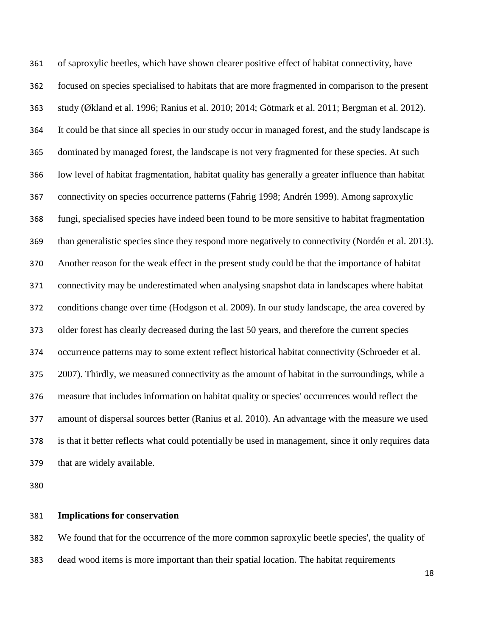of saproxylic beetles, which have shown clearer positive effect of habitat connectivity, have focused on species specialised to habitats that are more fragmented in comparison to the present study (Økland et al. 1996; Ranius et al. 2010; 2014; Götmark et al. 2011; Bergman et al. 2012). It could be that since all species in our study occur in managed forest, and the study landscape is dominated by managed forest, the landscape is not very fragmented for these species. At such low level of habitat fragmentation, habitat quality has generally a greater influence than habitat connectivity on species occurrence patterns (Fahrig 1998; Andrén 1999). Among saproxylic fungi, specialised species have indeed been found to be more sensitive to habitat fragmentation than generalistic species since they respond more negatively to connectivity (Nordén et al. 2013). Another reason for the weak effect in the present study could be that the importance of habitat connectivity may be underestimated when analysing snapshot data in landscapes where habitat conditions change over time (Hodgson et al. 2009). In our study landscape, the area covered by older forest has clearly decreased during the last 50 years, and therefore the current species occurrence patterns may to some extent reflect historical habitat connectivity (Schroeder et al. 2007). Thirdly, we measured connectivity as the amount of habitat in the surroundings, while a measure that includes information on habitat quality or species' occurrences would reflect the amount of dispersal sources better (Ranius et al. 2010). An advantage with the measure we used is that it better reflects what could potentially be used in management, since it only requires data that are widely available.

## **Implications for conservation**

We found that for the occurrence of the more common saproxylic beetle species', the quality of

dead wood items is more important than their spatial location. The habitat requirements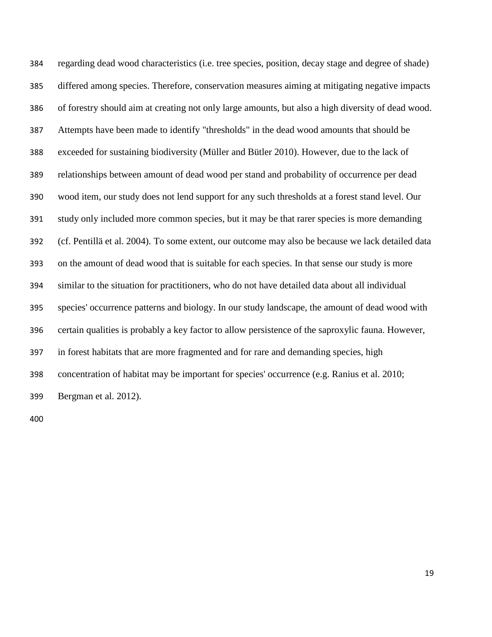regarding dead wood characteristics (i.e. tree species, position, decay stage and degree of shade) differed among species. Therefore, conservation measures aiming at mitigating negative impacts of forestry should aim at creating not only large amounts, but also a high diversity of dead wood. Attempts have been made to identify "thresholds" in the dead wood amounts that should be exceeded for sustaining biodiversity (Müller and Bütler 2010). However, due to the lack of relationships between amount of dead wood per stand and probability of occurrence per dead wood item, our study does not lend support for any such thresholds at a forest stand level. Our study only included more common species, but it may be that rarer species is more demanding (cf. Pentillä et al. 2004). To some extent, our outcome may also be because we lack detailed data on the amount of dead wood that is suitable for each species. In that sense our study is more similar to the situation for practitioners, who do not have detailed data about all individual species' occurrence patterns and biology. In our study landscape, the amount of dead wood with certain qualities is probably a key factor to allow persistence of the saproxylic fauna. However, in forest habitats that are more fragmented and for rare and demanding species, high concentration of habitat may be important for species' occurrence (e.g. Ranius et al. 2010; Bergman et al. 2012).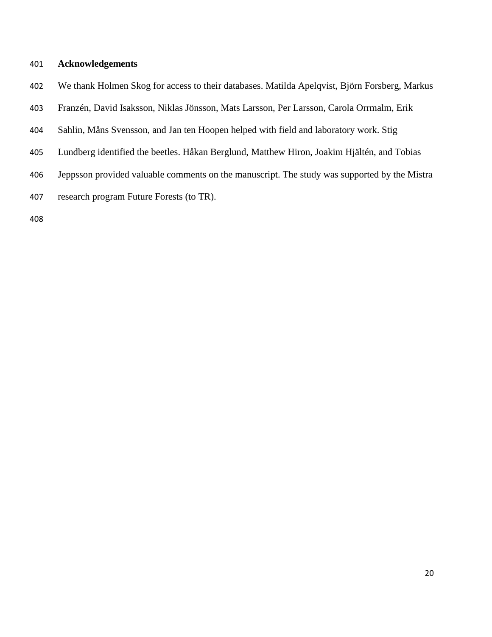## **Acknowledgements**

- We thank Holmen Skog for access to their databases. Matilda Apelqvist, Björn Forsberg, Markus
- Franzén, David Isaksson, Niklas Jönsson, Mats Larsson, Per Larsson, Carola Orrmalm, Erik
- Sahlin, Måns Svensson, and Jan ten Hoopen helped with field and laboratory work. Stig
- Lundberg identified the beetles. Håkan Berglund, Matthew Hiron, Joakim Hjältén, and Tobias
- Jeppsson provided valuable comments on the manuscript. The study was supported by the Mistra
- research program Future Forests (to TR).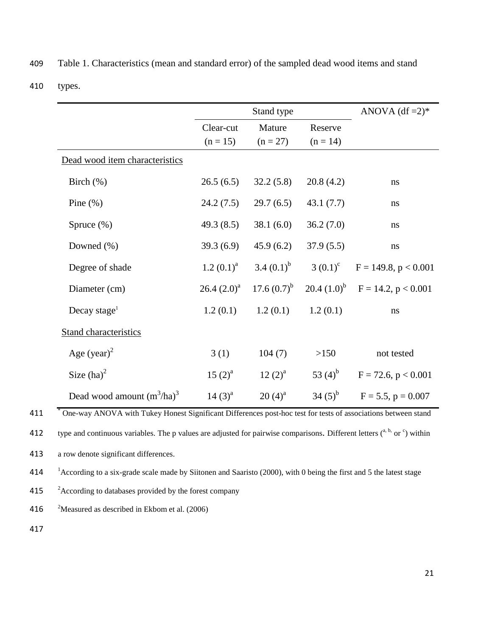|  | 409 Table 1. Characteristics (mean and standard error) of the sampled dead wood items and stand |  |  |  |  |
|--|-------------------------------------------------------------------------------------------------|--|--|--|--|
|--|-------------------------------------------------------------------------------------------------|--|--|--|--|

410 types.

|                                |                | Stand type       |              | ANOVA $(df = 2)*$                  |
|--------------------------------|----------------|------------------|--------------|------------------------------------|
|                                | Clear-cut      | Mature           | Reserve      |                                    |
|                                | $(n = 15)$     | $(n = 27)$       | $(n = 14)$   |                                    |
| Dead wood item characteristics |                |                  |              |                                    |
| Birch $(\%)$                   | 26.5(6.5)      | 32.2(5.8)        | 20.8(4.2)    | ns                                 |
| Pine $(\% )$                   | 24.2(7.5)      | 29.7(6.5)        | 43.1(7.7)    | ns                                 |
| Spruce $(\%)$                  | 49.3 $(8.5)$   | 38.1(6.0)        | 36.2(7.0)    | ns                                 |
| Downed $(\% )$                 | 39.3(6.9)      | 45.9(6.2)        | 37.9(5.5)    | ns                                 |
| Degree of shade                | $1.2 (0.1)^a$  | 3.4 $(0.1)^{b}$  | 3 $(0.1)^c$  | $F = 149.8, p < 0.001$             |
| Diameter (cm)                  | $26.4 (2.0)^a$ | 17.6 $(0.7)^{b}$ |              | 20.4 $(1.0)^b$ F = 14.2, p < 0.001 |
| Decay stage <sup>1</sup>       | 1.2(0.1)       | 1.2(0.1)         | 1.2(0.1)     | ns                                 |
| <b>Stand characteristics</b>   |                |                  |              |                                    |
| Age $(year)^2$                 | 3(1)           | 104(7)           | >150         | not tested                         |
| Size $(ha)^2$                  | $15(2)^{a}$    | $12(2)^{a}$      | 53 $(4)^{b}$ | $F = 72.6, p < 0.001$              |
| Dead wood amount $(m^3/ha)^3$  | $14(3)^{a}$    | $20(4)^{a}$      | 34 $(5)^{b}$ | $F = 5.5$ , $p = 0.007$            |

<sup>\*</sup> One-way ANOVA with Tukey Honest Significant Differences post-hoc test for tests of associations between stand

412 type and continuous variables. The p values are adjusted for pairwise comparisons. Different letters  $(^{a, b, \text{ or } c})$  within

413 a row denote significant differences.

<sup>1</sup> 414 According to a six-grade scale made by Siitonen and Saaristo (2000), with 0 being the first and 5 the latest stage

<sup>2</sup> 415 According to databases provided by the forest company

416  $\frac{2}{3}$ Measured as described in Ekbom et al. (2006)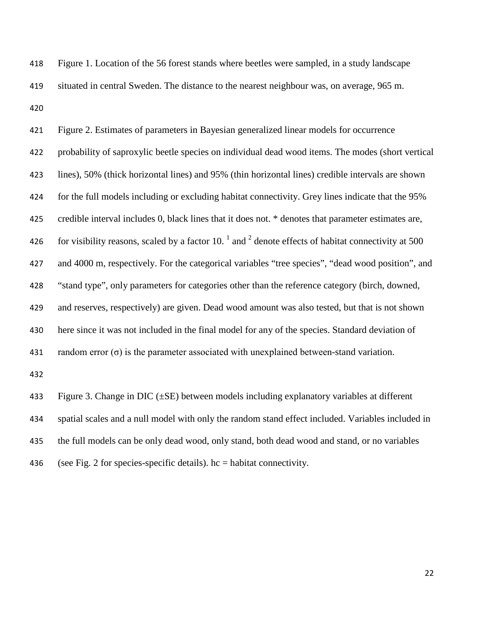Figure 1. Location of the 56 forest stands where beetles were sampled, in a study landscape situated in central Sweden. The distance to the nearest neighbour was, on average, 965 m. 

 Figure 2. Estimates of parameters in Bayesian generalized linear models for occurrence probability of saproxylic beetle species on individual dead wood items. The modes (short vertical lines), 50% (thick horizontal lines) and 95% (thin horizontal lines) credible intervals are shown for the full models including or excluding habitat connectivity. Grey lines indicate that the 95% credible interval includes 0, black lines that it does not. \* denotes that parameter estimates are, 426 for visibility reasons, scaled by a factor 10.  $^{1}$  and  $^{2}$  denote effects of habitat connectivity at 500 and 4000 m, respectively. For the categorical variables "tree species", "dead wood position", and "stand type", only parameters for categories other than the reference category (birch, downed, and reserves, respectively) are given. Dead wood amount was also tested, but that is not shown here since it was not included in the final model for any of the species. Standard deviation of 431 random error  $(\sigma)$  is the parameter associated with unexplained between-stand variation. 

433 Figure 3. Change in DIC  $(\pm SE)$  between models including explanatory variables at different spatial scales and a null model with only the random stand effect included. Variables included in the full models can be only dead wood, only stand, both dead wood and stand, or no variables 436 (see Fig. 2 for species-specific details).  $hc = habitat$  connectivity.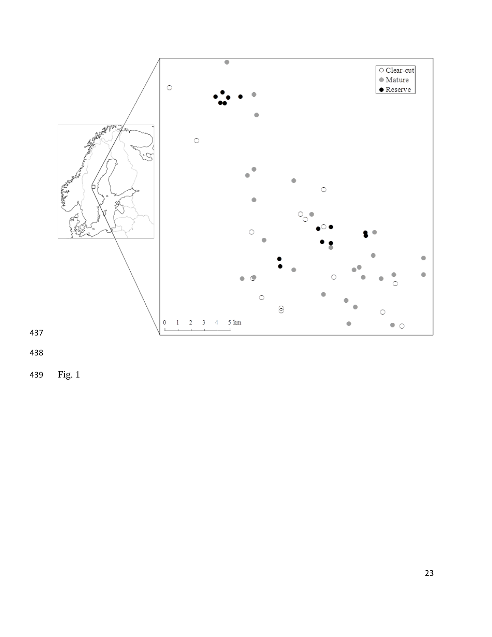

Fig. 1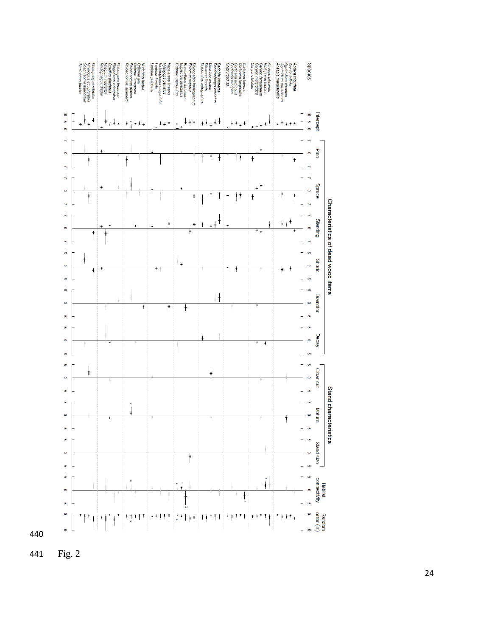

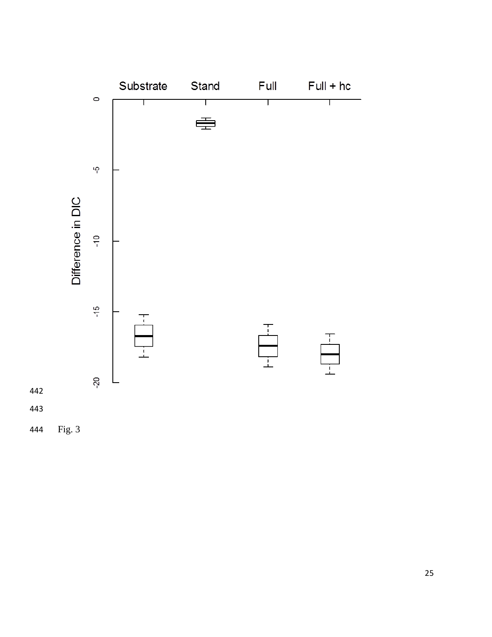



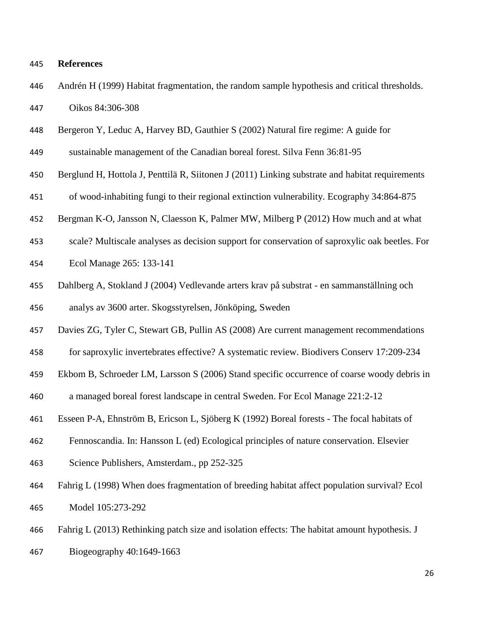## **References**

- Andrén H (1999) Habitat fragmentation, the random sample hypothesis and critical thresholds. Oikos 84:306-308
- Bergeron Y, Leduc A, Harvey BD, Gauthier S (2002) Natural fire regime: A guide for
- sustainable management of the Canadian boreal forest. Silva Fenn 36:81-95
- Berglund H, Hottola J, Penttilä R, Siitonen J (2011) Linking substrate and habitat requirements
- of wood-inhabiting fungi to their regional extinction vulnerability. Ecography 34:864-875
- Bergman K-O, Jansson N, Claesson K, Palmer MW, Milberg P (2012) How much and at what
- scale? Multiscale analyses as decision support for conservation of saproxylic oak beetles. For
- Ecol Manage 265: 133-141
- Dahlberg A, Stokland J (2004) Vedlevande arters krav på substrat en sammanställning och analys av 3600 arter. Skogsstyrelsen, Jönköping, Sweden
- Davies ZG, Tyler C, Stewart GB, Pullin AS (2008) Are current management recommendations
- for saproxylic invertebrates effective? A systematic review. Biodivers Conserv 17:209-234
- Ekbom B, Schroeder LM, Larsson S (2006) Stand specific occurrence of coarse woody debris in
- a managed boreal forest landscape in central Sweden. For Ecol Manage 221:2-12
- Esseen P-A, Ehnström B, Ericson L, Sjöberg K (1992) Boreal forests The focal habitats of
- Fennoscandia. In: Hansson L (ed) Ecological principles of nature conservation. Elsevier
- Science Publishers, Amsterdam., pp 252-325
- Fahrig L (1998) When does fragmentation of breeding habitat affect population survival? Ecol Model 105:273-292
- Fahrig L (2013) Rethinking patch size and isolation effects: The habitat amount hypothesis. J
- Biogeography 40:1649-1663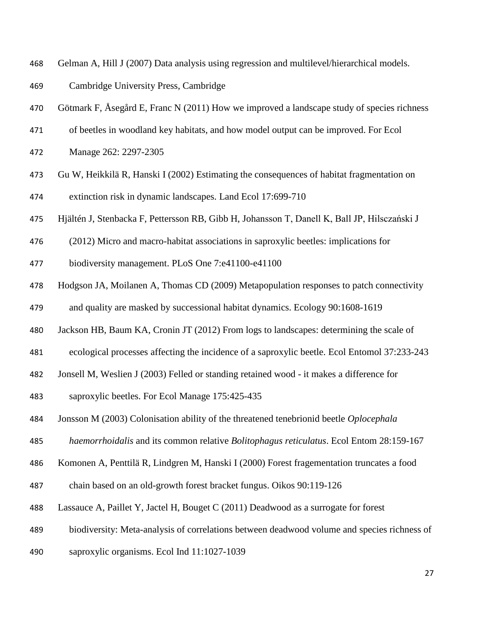- Gelman A, Hill J (2007) Data analysis using regression and multilevel/hierarchical models.
- Cambridge University Press, Cambridge
- 470 Götmark F, Åsegård E, Franc N (2011) How we improved a landscape study of species richness
- of beetles in woodland key habitats, and how model output can be improved. For Ecol
- Manage 262: 2297-2305
- Gu W, Heikkilä R, Hanski I (2002) Estimating the consequences of habitat fragmentation on extinction risk in dynamic landscapes. Land Ecol 17:699-710
- Hjältén J, Stenbacka F, Pettersson RB, Gibb H, Johansson T, Danell K, Ball JP, Hilsczański J
- (2012) Micro and macro-habitat associations in saproxylic beetles: implications for
- biodiversity management. PLoS One 7:e41100-e41100
- Hodgson JA, Moilanen A, Thomas CD (2009) Metapopulation responses to patch connectivity
- and quality are masked by successional habitat dynamics. Ecology 90:1608-1619
- Jackson HB, Baum KA, Cronin JT (2012) From logs to landscapes: determining the scale of
- ecological processes affecting the incidence of a saproxylic beetle. Ecol Entomol 37:233-243
- Jonsell M, Weslien J (2003) Felled or standing retained wood it makes a difference for
- saproxylic beetles. For Ecol Manage 175:425-435
- Jonsson M (2003) Colonisation ability of the threatened tenebrionid beetle *Oplocephala*
- *haemorrhoidalis* and its common relative *Bolitophagus reticulatus*. Ecol Entom 28:159-167
- Komonen A, Penttilä R, Lindgren M, Hanski I (2000) Forest fragementation truncates a food
- chain based on an old-growth forest bracket fungus. Oikos 90:119-126
- Lassauce A, Paillet Y, Jactel H, Bouget C (2011) Deadwood as a surrogate for forest
- biodiversity: Meta-analysis of correlations between deadwood volume and species richness of
- saproxylic organisms. Ecol Ind 11:1027-1039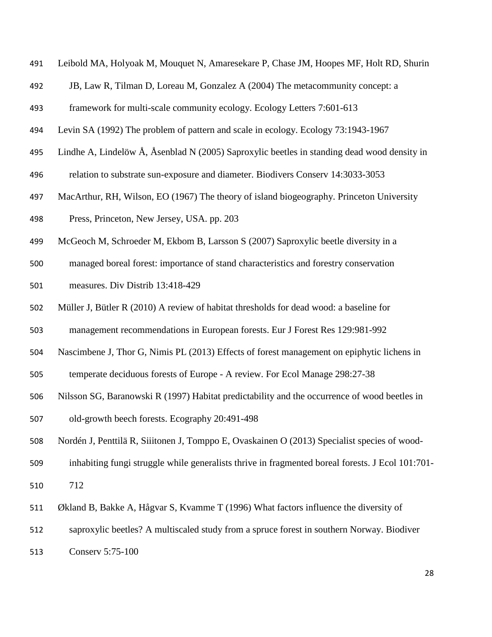- Leibold MA, Holyoak M, Mouquet N, Amaresekare P, Chase JM, Hoopes MF, Holt RD, Shurin
- JB, Law R, Tilman D, Loreau M, Gonzalez A (2004) The metacommunity concept: a
- framework for multi-scale community ecology. Ecology Letters 7:601-613
- <span id="page-28-0"></span>Levin SA (1992) The problem of pattern and scale in ecology. Ecology 73:1943-1967
- Lindhe A, Lindelöw Å, Åsenblad N (2005) Saproxylic beetles in standing dead wood density in
- relation to substrate sun-exposure and diameter. Biodivers Conserv 14:3033-3053
- MacArthur, RH, Wilson, EO (1967) The theory of island biogeography. Princeton University
- Press, Princeton, New Jersey, USA. pp. 203
- McGeoch M, Schroeder M, Ekbom B, Larsson S (2007) Saproxylic beetle diversity in a
- managed boreal forest: importance of stand characteristics and forestry conservation
- measures. Div Distrib 13:418-429
- Müller J, Bütler R (2010) A review of habitat thresholds for dead wood: a baseline for
- management recommendations in European forests. Eur J Forest Res 129:981-992
- Nascimbene J, Thor G, Nimis PL (2013) Effects of forest management on epiphytic lichens in
- temperate deciduous forests of Europe A review. For Ecol Manage 298:27-38
- Nilsson SG, Baranowski R (1997) Habitat predictability and the occurrence of wood beetles in
- old-growth beech forests. Ecography 20:491-498
- Nordén J, Penttilä R, Siiitonen J, Tomppo E, Ovaskainen O (2013) Specialist species of wood-
- inhabiting fungi struggle while generalists thrive in fragmented boreal forests. J Ecol 101:701-
- 712
- Økland B, Bakke A, Hågvar S, Kvamme T (1996) What factors influence the diversity of
- saproxylic beetles? A multiscaled study from a spruce forest in southern Norway. Biodiver
- Conserv 5:75-100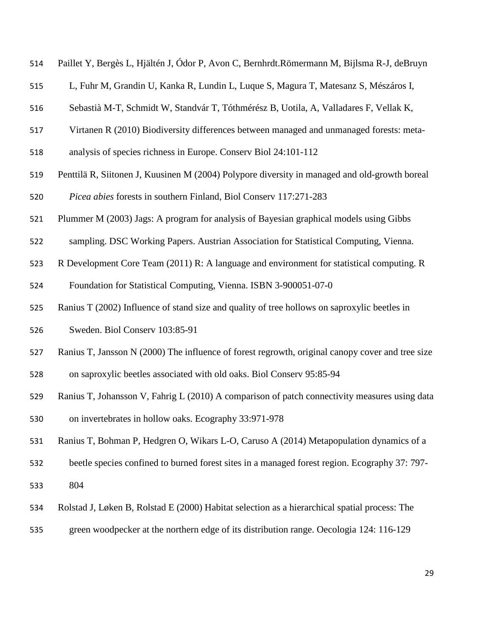| 514 |  |  | Paillet Y, Bergès L, Hjältén J, Ódor P, Avon C, Bernhrdt. Römermann M, Bijlsma R-J, deBruyn |  |
|-----|--|--|---------------------------------------------------------------------------------------------|--|
|-----|--|--|---------------------------------------------------------------------------------------------|--|

- L, Fuhr M, Grandin U, Kanka R, Lundin L, Luque S, Magura T, Matesanz S, Mészáros I,
- Sebastià M-T, Schmidt W, Standvár T, Tóthmérész B, Uotila, A, Valladares F, Vellak K,
- Virtanen R (2010) Biodiversity differences between managed and unmanaged forests: meta-
- analysis of species richness in Europe. Conserv Biol 24:101-112
- Penttilä R, Siitonen J, Kuusinen M (2004) Polypore diversity in managed and old-growth boreal *Picea abies* forests in southern Finland, Biol Conserv 117:271-283
- Plummer M (2003) Jags: A program for analysis of Bayesian graphical models using Gibbs
- sampling. DSC Working Papers. Austrian Association for Statistical Computing, Vienna.
- R Development Core Team (2011) R: A language and environment for statistical computing. R Foundation for Statistical Computing, Vienna. ISBN 3-900051-07-0
- Ranius T (2002) Influence of stand size and quality of tree hollows on saproxylic beetles in
- Sweden. Biol Conserv 103:85-91
- Ranius T, Jansson N (2000) The influence of forest regrowth, original canopy cover and tree size
- on saproxylic beetles associated with old oaks. Biol Conserv 95:85-94
- <span id="page-29-0"></span> Ranius T, Johansson V, Fahrig L (2010) A comparison of patch connectivity measures using data on invertebrates in hollow oaks. Ecography 33:971-978
- Ranius T, Bohman P, Hedgren O, Wikars L-O, Caruso A (2014) Metapopulation dynamics of a
- beetle species confined to burned forest sites in a managed forest region. Ecography 37: 797-
- 804
- Rolstad J, Løken B, Rolstad E (2000) Habitat selection as a hierarchical spatial process: The
- green woodpecker at the northern edge of its distribution range. Oecologia 124: 116-129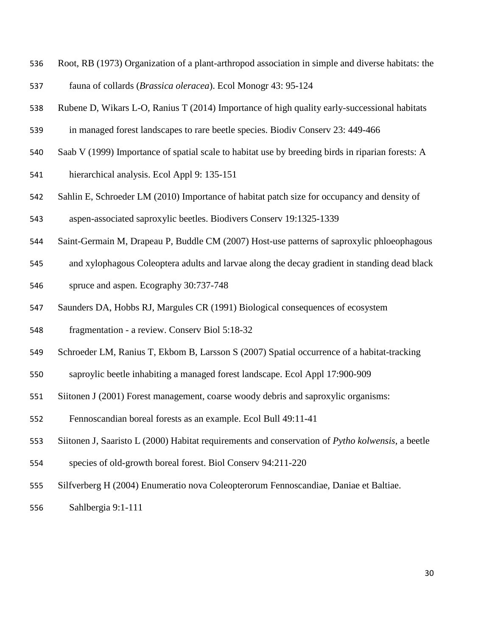- Root, RB (1973) Organization of a plant-arthropod association in simple and diverse habitats: the
- fauna of collards (*Brassica oleracea*). Ecol Monogr 43: 95-124
- Rubene D, Wikars L-O, Ranius T (2014) Importance of high quality early-successional habitats
- in managed forest landscapes to rare beetle species. Biodiv Conserv 23: 449-466
- Saab V (1999) Importance of spatial scale to habitat use by breeding birds in riparian forests: A
- hierarchical analysis. Ecol Appl 9: 135-151
- Sahlin E, Schroeder LM (2010) Importance of habitat patch size for occupancy and density of aspen-associated saproxylic beetles. Biodivers Conserv 19:1325-1339
- Saint-Germain M, Drapeau P, Buddle CM (2007) Host-use patterns of saproxylic phloeophagous
- and xylophagous Coleoptera adults and larvae along the decay gradient in standing dead black
- spruce and aspen. Ecography 30:737-748
- Saunders DA, Hobbs RJ, Margules CR (1991) Biological consequences of ecosystem
- fragmentation a review. Conserv Biol 5:18-32
- Schroeder LM, Ranius T, Ekbom B, Larsson S (2007) Spatial occurrence of a habitat-tracking
- saproylic beetle inhabiting a managed forest landscape. Ecol Appl 17:900-909
- Siitonen J (2001) Forest management, coarse woody debris and saproxylic organisms:
- Fennoscandian boreal forests as an example. Ecol Bull 49:11-41
- <span id="page-30-0"></span>Siitonen J, Saaristo L (2000) Habitat requirements and conservation of *Pytho kolwensis*, a beetle
- species of old-growth boreal forest. Biol Conserv 94:211-220
- Silfverberg H (2004) Enumeratio nova Coleopterorum Fennoscandiae, Daniae et Baltiae.
- Sahlbergia 9:1-111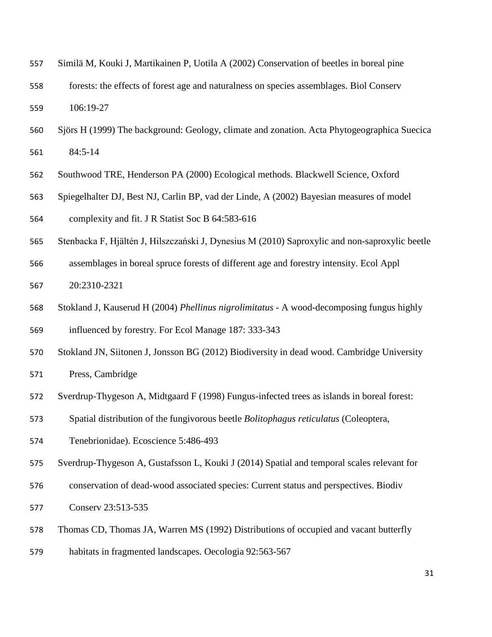| Similä M, Kouki J, Martikainen P, Uotila A (2002) Conservation of beetles in boreal pine<br>557 |  |
|-------------------------------------------------------------------------------------------------|--|
|-------------------------------------------------------------------------------------------------|--|

- forests: the effects of forest age and naturalness on species assemblages. Biol Conserv 106:19-27
- Sjörs H (1999) The background: Geology, climate and zonation. Acta Phytogeographica Suecica 84:5-14
- <span id="page-31-0"></span>Southwood TRE, Henderson PA (2000) Ecological methods. Blackwell Science, Oxford
- Spiegelhalter DJ, Best NJ, Carlin BP, vad der Linde, A (2002) Bayesian measures of model complexity and fit. J R Statist Soc B 64:583-616
- Stenbacka F, Hjältén J, Hilszczański J, Dynesius M (2010) Saproxylic and non-saproxylic beetle
- assemblages in boreal spruce forests of different age and forestry intensity. Ecol Appl 20:2310-2321
- Stokland J, Kauserud H (2004) *Phellinus nigrolimitatus* A wood-decomposing fungus highly
- influenced by forestry. For Ecol Manage 187: 333-343
- Stokland JN, Siitonen J, Jonsson BG (2012) Biodiversity in dead wood. Cambridge University
- Press, Cambridge
- Sverdrup-Thygeson A, Midtgaard F (1998) Fungus-infected trees as islands in boreal forest:
- Spatial distribution of the fungivorous beetle *Bolitophagus reticulatus* (Coleoptera,
- Tenebrionidae). Ecoscience 5:486-493
- Sverdrup-Thygeson A, Gustafsson L, Kouki J (2014) Spatial and temporal scales relevant for
- conservation of dead-wood associated species: Current status and perspectives. Biodiv
- Conserv 23:513-535
- Thomas CD, Thomas JA, Warren MS (1992) Distributions of occupied and vacant butterfly
- habitats in fragmented landscapes. Oecologia 92:563-567